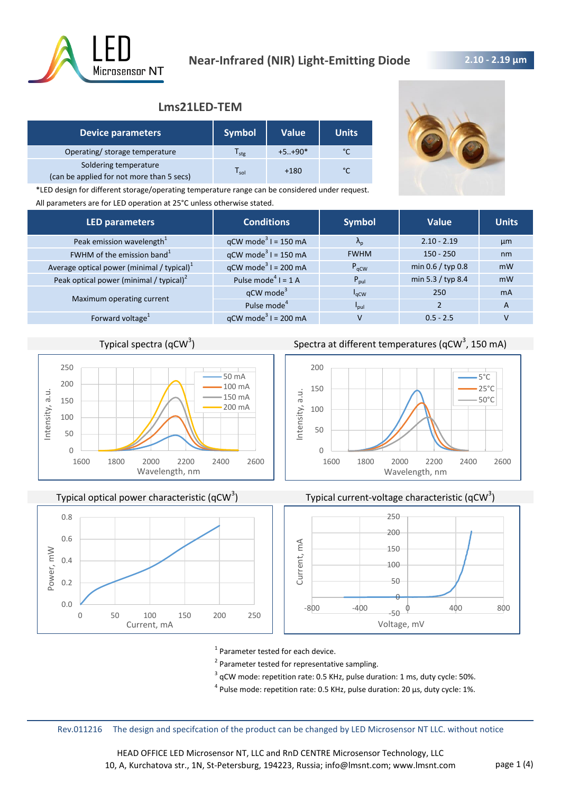

## **2.10 - 2.19 μm**

# **Lms21LED-TEM**

| <b>Device parameters</b>                                           | <b>Symbol</b>               | Value <sup>1</sup> | <b>Units</b> |
|--------------------------------------------------------------------|-----------------------------|--------------------|--------------|
| Operating/ storage temperature                                     | l <sub>stg</sub>            | $+5+90*$           | °C           |
| Soldering temperature<br>(can be applied for not more than 5 secs) | $\mathsf{T}_{\mathsf{sol}}$ | $+180$             | °C           |

\*LED design for different storage/operating temperature range can be considered under request. All parameters are for LED operation at 25°C unless otherwise stated.

| <b>LED parameters</b>                                  | <b>Conditions</b>                 | <b>Symbol</b>           | <b>Value</b>        | <b>Units</b>   |
|--------------------------------------------------------|-----------------------------------|-------------------------|---------------------|----------------|
| Peak emission wavelength <sup>1</sup>                  | $qCW \text{ mode}^3$ I = 150 mA   | $\Lambda_{\rm n}$       | $2.10 - 2.19$       | µm             |
| FWHM of the emission band <sup>1</sup>                 | $qCW \text{ mode}^3$ I = 150 mA   | <b>FWHM</b>             | $150 - 250$         | nm             |
| Average optical power (minimal / typical) <sup>1</sup> | $qCW \text{ mode}^3$ I = 200 mA   | $P_{\text{aCW}}$        | min $0.6 /$ typ 0.8 | mW             |
| Peak optical power (minimal / typical) $2$             | Pulse mode <sup>4</sup> $I = 1$ A | $P_{\text{pul}}$        | min 5.3 / typ 8.4   | mW             |
| Maximum operating current                              | $qCW$ mode <sup>3</sup>           | $I_{\rm qCW}$           | 250                 | <b>mA</b>      |
|                                                        | Pulse mode <sup>4</sup>           | <b>P</b> <sub>pul</sub> |                     | $\overline{A}$ |
| Forward voltage <sup>1</sup>                           | $qCW \text{ mode}^3$ I = 200 mA   | v                       | $0.5 - 2.5$         |                |

## Typical spectra (qCW $3$ )



Typical optical power characteristic (qCW<sup>3</sup>)



# ) Spectra at different temperatures (qCW<sup>3</sup>, 150 mA)







<sup>1</sup> Parameter tested for each device.

<sup>2</sup> Parameter tested for representative sampling.

 $3$  qCW mode: repetition rate: 0.5 KHz, pulse duration: 1 ms, duty cycle: 50%.

 $^4$  Pulse mode: repetition rate: 0.5 KHz, pulse duration: 20 µs, duty cycle: 1%.

Rev.011216 The design and specifcation of the product can be changed by LED Microsensor NT LLC. without notice

HEAD OFFICE LED Microsensor NT, LLC and RnD CENTRE Microsensor Technology, LLC 10, A, Kurchatova str., 1N, St-Petersburg, 194223, Russia; info@lmsnt.com; www.lmsnt.com page 1 (4)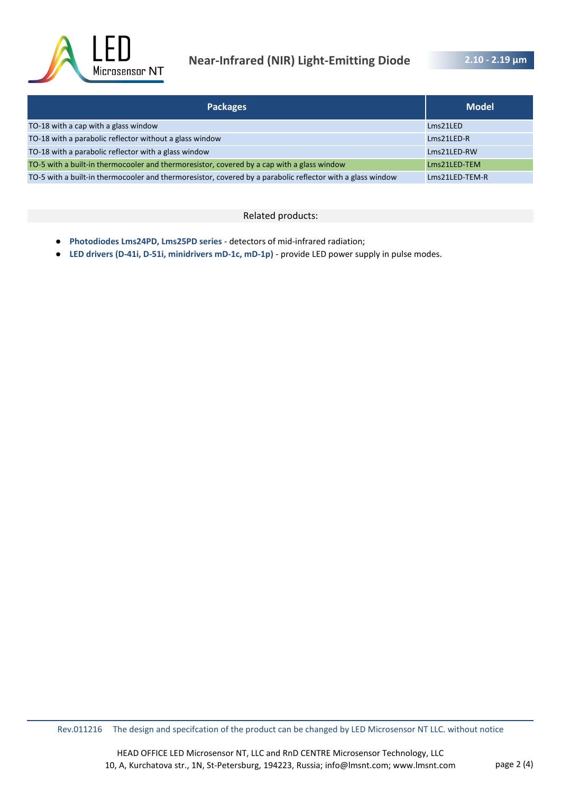

# **Near-Infrared (NIR) Light-Emitting Diode**

**2.10 - 2.19 μm** 

| <b>Packages</b>                                                                                            | <b>Model</b>   |
|------------------------------------------------------------------------------------------------------------|----------------|
| TO-18 with a cap with a glass window                                                                       | Lms21LED       |
| TO-18 with a parabolic reflector without a glass window                                                    | Lms21LED-R     |
| TO-18 with a parabolic reflector with a glass window                                                       | Lms21LED-RW    |
| TO-5 with a built-in thermocooler and thermoresistor, covered by a cap with a glass window                 | Lms21LED-TEM   |
| TO-5 with a built-in thermocooler and thermoresistor, covered by a parabolic reflector with a glass window | Lms21LED-TEM-R |

#### Related products:

- **Photodiodes Lms24PD, Lms25PD series**  detectors of mid-infrared radiation;
- **LED drivers (D-41i, D-51i, minidrivers mD-1c, mD-1p)**  provide LED power supply in pulse modes.

Rev.011216 The design and specifcation of the product can be changed by LED Microsensor NT LLC. without notice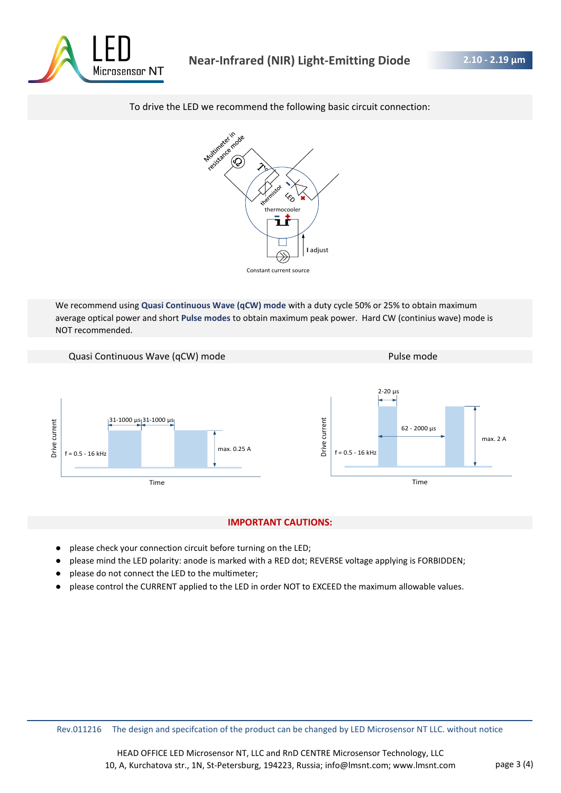

#### To drive the LED we recommend the following basic circuit connection:



We recommend using **Quasi Continuous Wave (qCW) mode** with a duty cycle 50% or 25% to obtain maximum average optical power and short **Pulse modes** to obtain maximum peak power. Hard CW (continius wave) mode is

NOT recommended.



#### **IMPORTANT CAUTIONS:**

- please check your connection circuit before turning on the LED;
- please mind the LED polarity: anode is marked with a RED dot; REVERSE voltage applying is FORBIDDEN;
- please do not connect the LED to the multimeter;
- please control the CURRENT applied to the LED in order NOT to EXCEED the maximum allowable values.